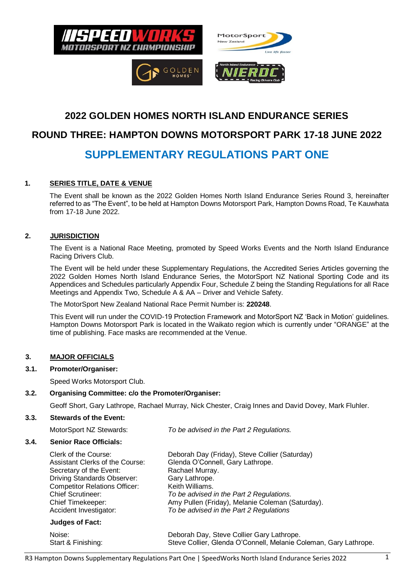





# **2022 GOLDEN HOMES NORTH ISLAND ENDURANCE SERIES**

# **ROUND THREE: HAMPTON DOWNS MOTORSPORT PARK 17-18 JUNE 2022**

# **SUPPLEMENTARY REGULATIONS PART ONE**

# **1. SERIES TITLE, DATE & VENUE**

The Event shall be known as the 2022 Golden Homes North Island Endurance Series Round 3, hereinafter referred to as "The Event", to be held at Hampton Downs Motorsport Park, Hampton Downs Road, Te Kauwhata from 17-18 June 2022.

# **2. JURISDICTION**

The Event is a National Race Meeting, promoted by Speed Works Events and the North Island Endurance Racing Drivers Club.

The Event will be held under these Supplementary Regulations, the Accredited Series Articles governing the 2022 Golden Homes North Island Endurance Series, the MotorSport NZ National Sporting Code and its Appendices and Schedules particularly Appendix Four, Schedule Z being the Standing Regulations for all Race Meetings and Appendix Two, Schedule A & AA – Driver and Vehicle Safety.

The MotorSport New Zealand National Race Permit Number is: **220248**.

This Event will run under the COVID-19 Protection Framework and MotorSport NZ 'Back in Motion' guidelines. Hampton Downs Motorsport Park is located in the Waikato region which is currently under "ORANGE" at the time of publishing. Face masks are recommended at the Venue.

# **3. MAJOR OFFICIALS**

# **3.1. Promoter/Organiser:**

Speed Works Motorsport Club.

# **3.2. Organising Committee: c/o the Promoter/Organiser:**

Geoff Short, Gary Lathrope, Rachael Murray, Nick Chester, Craig Innes and David Dovey, Mark Fluhler.

#### **3.3. Stewards of the Event:**

MotorSport NZ Stewards: *To be advised in the Part 2 Regulations.*

#### **3.4. Senior Race Officials:**

| Clerk of the Course:                 | Deborah Day (Friday), Steve Collier (Saturday)                   |  |  |  |
|--------------------------------------|------------------------------------------------------------------|--|--|--|
| Assistant Clerks of the Course:      | Glenda O'Connell, Gary Lathrope.                                 |  |  |  |
| Secretary of the Event:              | Rachael Murray.                                                  |  |  |  |
| <b>Driving Standards Observer:</b>   | Gary Lathrope.                                                   |  |  |  |
| <b>Competitor Relations Officer:</b> | Keith Williams.                                                  |  |  |  |
| <b>Chief Scrutineer:</b>             | To be advised in the Part 2 Regulations.                         |  |  |  |
| Chief Timekeeper:                    | Amy Pullen (Friday), Melanie Coleman (Saturday).                 |  |  |  |
| Accident Investigator:               | To be advised in the Part 2 Regulations                          |  |  |  |
| <b>Judges of Fact:</b>               |                                                                  |  |  |  |
| Noise:                               | Deborah Day, Steve Collier Gary Lathrope.                        |  |  |  |
| Start & Finishing:                   | Steve Collier, Glenda O'Connell, Melanie Coleman, Gary Lathrope. |  |  |  |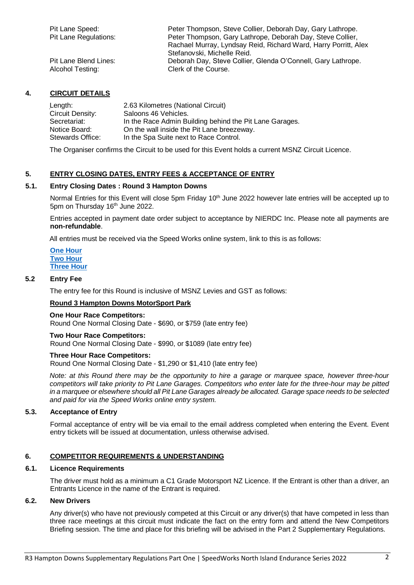| Pit Lane Speed:              | Peter Thompson, Steve Collier, Deborah Day, Gary Lathrope.      |
|------------------------------|-----------------------------------------------------------------|
| <b>Pit Lane Regulations:</b> | Peter Thompson, Gary Lathrope, Deborah Day, Steve Collier,      |
|                              | Rachael Murray, Lyndsay Reid, Richard Ward, Harry Porritt, Alex |
|                              | Stefanovski, Michelle Reid.                                     |
| Pit Lane Blend Lines:        | Deborah Day, Steve Collier, Glenda O'Connell, Gary Lathrope.    |
| Alcohol Testing:             | Clerk of the Course.                                            |

# **4. CIRCUIT DETAILS**

| Length:                 | 2.63 Kilometres (National Circuit)                      |
|-------------------------|---------------------------------------------------------|
| <b>Circuit Density:</b> | Saloons 46 Vehicles.                                    |
| Secretariat:            | In the Race Admin Building behind the Pit Lane Garages. |
| Notice Board:           | On the wall inside the Pit Lane breezeway.              |
| Stewards Office:        | In the Spa Suite next to Race Control.                  |

The Organiser confirms the Circuit to be used for this Event holds a current MSNZ Circuit Licence.

# **5. ENTRY CLOSING DATES, ENTRY FEES & ACCEPTANCE OF ENTRY**

### **5.1. Entry Closing Dates : Round 3 Hampton Downs**

Normal Entries for this Event will close 5pm Friday 10<sup>th</sup> June 2022 however late entries will be accepted up to 5pm on Thursday 16<sup>th</sup> June 2022.

Entries accepted in payment date order subject to acceptance by NIERDC Inc. Please note all payments are **non-refundable**.

All entries must be received via the Speed Works online system, link to this is as follows:

**[One Hour](https://docs.google.com/forms/d/e/1FAIpQLSezSuez6uL4-XgPWKxU9xKLB_peeKNsuTEgyR-GgKFmCyWvGA/viewform) [Two Hour](https://docs.google.com/forms/d/e/1FAIpQLScgcrrlCMCPjjKA61GhcdO0usmL3PEb3KbLdJBknPbDhVghUg/viewform) [Three Hour](https://docs.google.com/forms/d/e/1FAIpQLSfSHAFFnLsjzMYkVFGFOheLJHKi2H-ehsYBjv8l5L2x5pwdPw/viewform)**

#### **5.2 Entry Fee**

The entry fee for this Round is inclusive of MSNZ Levies and GST as follows:

#### **Round 3 Hampton Downs MotorSport Park**

#### **One Hour Race Competitors:**

Round One Normal Closing Date - \$690, or \$759 (late entry fee)

#### **Two Hour Race Competitors:**

Round One Normal Closing Date - \$990, or \$1089 (late entry fee)

#### **Three Hour Race Competitors:**

Round One Normal Closing Date - \$1,290 or \$1,410 (late entry fee)

*Note: at this Round there may be the opportunity to hire a garage or marquee space, however three-hour competitors will take priority to Pit Lane Garages. Competitors who enter late for the three-hour may be pitted in a marquee or elsewhere should all Pit Lane Garages already be allocated. Garage space needs to be selected and paid for via the Speed Works online entry system.*

#### **5.3. Acceptance of Entry**

Formal acceptance of entry will be via email to the email address completed when entering the Event. Event entry tickets will be issued at documentation, unless otherwise advised.

#### **6. COMPETITOR REQUIREMENTS & UNDERSTANDING**

#### **6.1. Licence Requirements**

The driver must hold as a minimum a C1 Grade Motorsport NZ Licence. If the Entrant is other than a driver, an Entrants Licence in the name of the Entrant is required.

#### **6.2. New Drivers**

Any driver(s) who have not previously competed at this Circuit or any driver(s) that have competed in less than three race meetings at this circuit must indicate the fact on the entry form and attend the New Competitors Briefing session. The time and place for this briefing will be advised in the Part 2 Supplementary Regulations.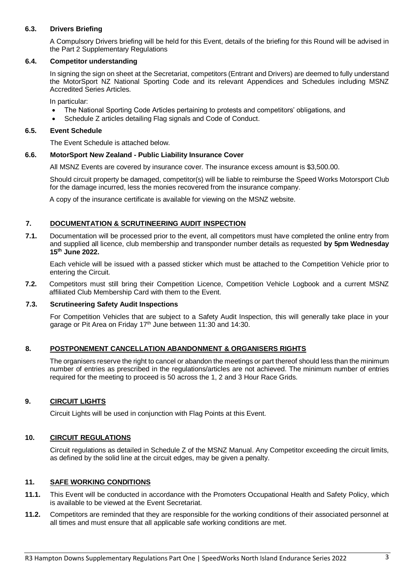# **6.3. Drivers Briefing**

A Compulsory Drivers briefing will be held for this Event, details of the briefing for this Round will be advised in the Part 2 Supplementary Regulations

#### **6.4. Competitor understanding**

In signing the sign on sheet at the Secretariat, competitors (Entrant and Drivers) are deemed to fully understand the MotorSport NZ National Sporting Code and its relevant Appendices and Schedules including MSNZ Accredited Series Articles.

In particular:

- The National Sporting Code Articles pertaining to protests and competitors' obligations, and
- Schedule Z articles detailing Flag signals and Code of Conduct.

#### **6.5. Event Schedule**

The Event Schedule is attached below.

#### **6.6. MotorSport New Zealand - Public Liability Insurance Cover**

All MSNZ Events are covered by insurance cover. The insurance excess amount is \$3,500.00.

Should circuit property be damaged, competitor(s) will be liable to reimburse the Speed Works Motorsport Club for the damage incurred, less the monies recovered from the insurance company.

A copy of the insurance certificate is available for viewing on the MSNZ website.

# **7. DOCUMENTATION & SCRUTINEERING AUDIT INSPECTION**

**7.1.** Documentation will be processed prior to the event, all competitors must have completed the online entry from and supplied all licence, club membership and transponder number details as requested **by 5pm Wednesday 15 th June 2022.**

Each vehicle will be issued with a passed sticker which must be attached to the Competition Vehicle prior to entering the Circuit.

**7.2.** Competitors must still bring their Competition Licence, Competition Vehicle Logbook and a current MSNZ affiliated Club Membership Card with them to the Event.

#### **7.3. Scrutineering Safety Audit Inspections**

For Competition Vehicles that are subject to a Safety Audit Inspection, this will generally take place in your garage or Pit Area on Friday 17<sup>th</sup> June between 11:30 and 14:30.

#### **8. POSTPONEMENT CANCELLATION ABANDONMENT & ORGANISERS RIGHTS**

The organisers reserve the right to cancel or abandon the meetings or part thereof should less than the minimum number of entries as prescribed in the regulations/articles are not achieved. The minimum number of entries required for the meeting to proceed is 50 across the 1, 2 and 3 Hour Race Grids.

# **9. CIRCUIT LIGHTS**

Circuit Lights will be used in conjunction with Flag Points at this Event.

# **10. CIRCUIT REGULATIONS**

Circuit regulations as detailed in Schedule Z of the MSNZ Manual. Any Competitor exceeding the circuit limits, as defined by the solid line at the circuit edges, may be given a penalty.

#### **11. SAFE WORKING CONDITIONS**

- **11.1.** This Event will be conducted in accordance with the Promoters Occupational Health and Safety Policy, which is available to be viewed at the Event Secretariat.
- **11.2.** Competitors are reminded that they are responsible for the working conditions of their associated personnel at all times and must ensure that all applicable safe working conditions are met.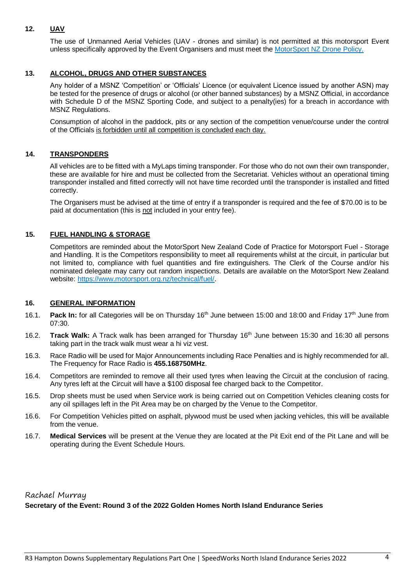# **12. UAV**

The use of Unmanned Aerial Vehicles (UAV - drones and similar) is not permitted at this motorsport Event unless specifically approved by the Event Organisers and must meet the MotorSport NZ Drone Policy.

# **13. ALCOHOL, DRUGS AND OTHER SUBSTANCES**

Any holder of a MSNZ 'Competition' or 'Officials' Licence (or equivalent Licence issued by another ASN) may be tested for the presence of drugs or alcohol (or other banned substances) by a MSNZ Official, in accordance with Schedule D of the MSNZ Sporting Code, and subject to a penalty(ies) for a breach in accordance with MSNZ Regulations.

Consumption of alcohol in the paddock, pits or any section of the competition venue/course under the control of the Officials is forbidden until all competition is concluded each day.

#### **14. TRANSPONDERS**

All vehicles are to be fitted with a MyLaps timing transponder. For those who do not own their own transponder, these are available for hire and must be collected from the Secretariat. Vehicles without an operational timing transponder installed and fitted correctly will not have time recorded until the transponder is installed and fitted correctly.

The Organisers must be advised at the time of entry if a transponder is required and the fee of \$70.00 is to be paid at documentation (this is not included in your entry fee).

#### **15. FUEL HANDLING & STORAGE**

Competitors are reminded about the MotorSport New Zealand Code of Practice for Motorsport Fuel - Storage and Handling. It is the Competitors responsibility to meet all requirements whilst at the circuit, in particular but not limited to, compliance with fuel quantities and fire extinguishers. The Clerk of the Course and/or his nominated delegate may carry out random inspections. Details are available on the MotorSport New Zealand website: https://www.motorsport.org.nz/technical/fuel/.

#### **16. GENERAL INFORMATION**

- 16.1. Pack In: for all Categories will be on Thursday 16<sup>th</sup> June between 15:00 and 18:00 and Friday 17<sup>th</sup> June from 07:30.
- 16.2. **Track Walk:** A Track walk has been arranged for Thursday 16 th June between 15:30 and 16:30 all persons taking part in the track walk must wear a hi viz vest.
- 16.3. Race Radio will be used for Major Announcements including Race Penalties and is highly recommended for all. The Frequency for Race Radio is **455.168750MHz**.
- 16.4. Competitors are reminded to remove all their used tyres when leaving the Circuit at the conclusion of racing. Any tyres left at the Circuit will have a \$100 disposal fee charged back to the Competitor.
- 16.5. Drop sheets must be used when Service work is being carried out on Competition Vehicles cleaning costs for any oil spillages left in the Pit Area may be on charged by the Venue to the Competitor.
- 16.6. For Competition Vehicles pitted on asphalt, plywood must be used when jacking vehicles, this will be available from the venue.
- 16.7. **Medical Services** will be present at the Venue they are located at the Pit Exit end of the Pit Lane and will be operating during the Event Schedule Hours.

# Rachael Murray **Secretary of the Event: Round 3 of the 2022 Golden Homes North Island Endurance Series**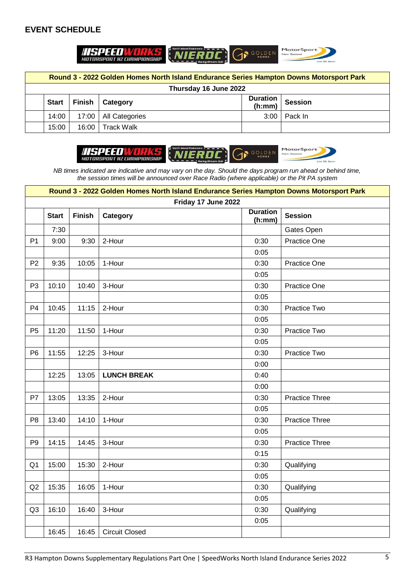# **EVENT SCHEDULE**



| Round 3 - 2022 Golden Homes North Island Endurance Series Hampton Downs Motorsport Park |              |               |                        |                           |                |
|-----------------------------------------------------------------------------------------|--------------|---------------|------------------------|---------------------------|----------------|
| Thursday 16 June 2022                                                                   |              |               |                        |                           |                |
|                                                                                         | <b>Start</b> | <b>Finish</b> | <b>Category</b>        | <b>Duration</b><br>(h:mm) | <b>Session</b> |
|                                                                                         | 14:00        |               | 17:00   All Categories | 3:00                      | Pack In        |
|                                                                                         | 15:00        | 16:00         | <b>Track Walk</b>      |                           |                |



*NB times indicated are indicative and may vary on the day. Should the days program run ahead or behind time, the session times will be announced over Race Radio (where applicable) or the Pit PA system*

|                | Round 3 - 2022 Golden Homes North Island Endurance Series Hampton Downs Motorsport Park |               |                       |                           |                       |
|----------------|-----------------------------------------------------------------------------------------|---------------|-----------------------|---------------------------|-----------------------|
|                |                                                                                         |               | Friday 17 June 2022   |                           |                       |
|                | <b>Start</b>                                                                            | <b>Finish</b> | Category              | <b>Duration</b><br>(h:mm) | <b>Session</b>        |
|                | 7:30                                                                                    |               |                       |                           | Gates Open            |
| P <sub>1</sub> | 9:00                                                                                    | 9:30          | 2-Hour                | 0:30                      | <b>Practice One</b>   |
|                |                                                                                         |               |                       | 0:05                      |                       |
| P <sub>2</sub> | 9:35                                                                                    | 10:05         | 1-Hour                | 0:30                      | Practice One          |
|                |                                                                                         |               |                       | 0:05                      |                       |
| P <sub>3</sub> | 10:10                                                                                   | 10:40         | 3-Hour                | 0:30                      | <b>Practice One</b>   |
|                |                                                                                         |               |                       | 0:05                      |                       |
| P <sub>4</sub> | 10:45                                                                                   | 11:15         | 2-Hour                | 0:30                      | Practice Two          |
|                |                                                                                         |               |                       | 0:05                      |                       |
| P <sub>5</sub> | 11:20                                                                                   | 11:50         | 1-Hour                | 0:30                      | Practice Two          |
|                |                                                                                         |               |                       | 0:05                      |                       |
| P <sub>6</sub> | 11:55                                                                                   | 12:25         | 3-Hour                | 0:30                      | Practice Two          |
|                |                                                                                         |               |                       | 0:00                      |                       |
|                | 12:25                                                                                   | 13:05         | <b>LUNCH BREAK</b>    | 0:40                      |                       |
|                |                                                                                         |               |                       | 0:00                      |                       |
| P7             | 13:05                                                                                   | 13:35         | 2-Hour                | 0:30                      | <b>Practice Three</b> |
|                |                                                                                         |               |                       | 0:05                      |                       |
| P <sub>8</sub> | 13:40                                                                                   | 14:10         | 1-Hour                | 0:30                      | <b>Practice Three</b> |
|                |                                                                                         |               |                       | 0:05                      |                       |
| P <sub>9</sub> | 14:15                                                                                   | 14:45         | 3-Hour                | 0:30                      | <b>Practice Three</b> |
|                |                                                                                         |               |                       | 0:15                      |                       |
| Q <sub>1</sub> | 15:00                                                                                   | 15:30         | 2-Hour                | 0:30                      | Qualifying            |
|                |                                                                                         |               |                       | 0:05                      |                       |
| Q2             | 15:35                                                                                   | 16:05         | 1-Hour                | 0:30                      | Qualifying            |
|                |                                                                                         |               |                       | 0:05                      |                       |
| Q <sub>3</sub> | 16:10                                                                                   | 16:40         | 3-Hour                | 0:30                      | Qualifying            |
|                |                                                                                         |               |                       | 0:05                      |                       |
|                | 16:45                                                                                   | 16:45         | <b>Circuit Closed</b> |                           |                       |